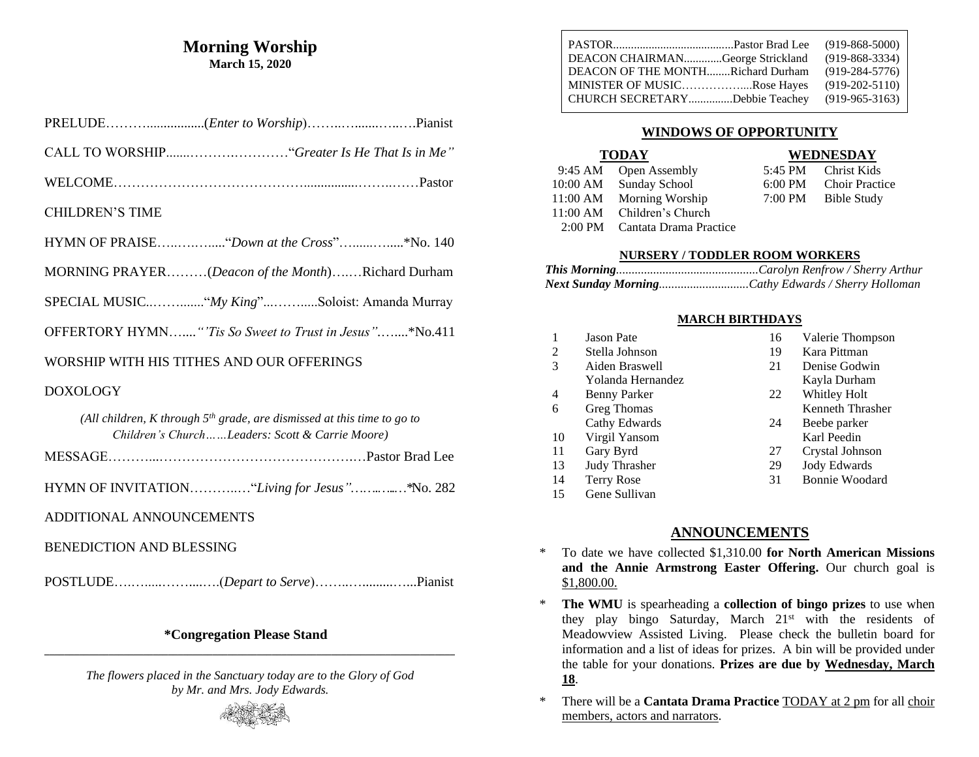### **Morning Worship March 15, 2020**

| <b>CHILDREN'S TIME</b>                                                                                                       |
|------------------------------------------------------------------------------------------------------------------------------|
|                                                                                                                              |
| MORNING PRAYER(Deacon of the Month)Richard Durham                                                                            |
|                                                                                                                              |
| OFFERTORY HYMN"'Tis So Sweet to Trust in Jesus"*No.411                                                                       |
| WORSHIP WITH HIS TITHES AND OUR OFFERINGS                                                                                    |
| <b>DOXOLOGY</b>                                                                                                              |
| (All children, K through $5th$ grade, are dismissed at this time to go to<br>Children's ChurchLeaders: Scott & Carrie Moore) |
|                                                                                                                              |
| HYMN OF INVITATION"Living for Jesus"*No. 282                                                                                 |
| ADDITIONAL ANNOUNCEMENTS                                                                                                     |
| <b>BENEDICTION AND BLESSING</b>                                                                                              |
|                                                                                                                              |

### **\*Congregation Please Stand \_\_\_\_\_\_\_\_\_\_\_\_\_\_\_\_\_\_\_\_\_\_\_\_\_\_\_\_\_\_\_\_\_\_\_\_\_\_\_\_\_\_\_\_\_\_\_\_\_\_\_\_\_\_\_\_\_\_\_\_\_\_\_\_\_\_\_\_\_\_\_\_\_\_\_\_\_\_\_\_\_\_\_**

*The flowers placed in the Sanctuary today are to the Glory of God by Mr. and Mrs. Jody Edwards.*



| DEACON CHAIRMANGeorge Strickland<br>DEACON OF THE MONTHRichard Durham<br>MINISTER OF MUSICRose Hayes | $(919 - 868 - 5000)$<br>$(919 - 868 - 3334)$<br>$(919-284-5776)$<br>$(919-202-5110)$ |
|------------------------------------------------------------------------------------------------------|--------------------------------------------------------------------------------------|
| CHURCH SECRETARYDebbie Teachey                                                                       | $(919-965-3163)$                                                                     |

### **WINDOWS OF OPPORTUNITY**

### **TODAY WEDNESDAY**

| 5:45 PM           | Christ Kids           |
|-------------------|-----------------------|
| $6:00 \text{ PM}$ | <b>Choir Practice</b> |
| $7:00 \text{ PM}$ | <b>Bible Study</b>    |

| 9:45 AM Open Assembly          |                   | 5:45 PM Christ Kids   |
|--------------------------------|-------------------|-----------------------|
| 10:00 AM Sunday School         | $6:00 \text{ PM}$ | <b>Choir Practice</b> |
| 11:00 AM Morning Worship       |                   | 7:00 PM Bible Study   |
| 11:00 AM Children's Church     |                   |                       |
| 2:00 PM Cantata Drama Practice |                   |                       |

## **NURSERY / TODDLER ROOM WORKERS**

### **MARCH BIRTHDAYS**

|     | <b>Jason Pate</b>  | 16 | Valerie Thompson    |
|-----|--------------------|----|---------------------|
| 2   | Stella Johnson     | 19 | Kara Pittman        |
| 3   | Aiden Braswell     | 21 | Denise Godwin       |
|     | Yolanda Hernandez  |    | Kayla Durham        |
| 4   | Benny Parker       | 22 | Whitley Holt        |
| 6   | <b>Greg Thomas</b> |    | Kenneth Thrasher    |
|     | Cathy Edwards      | 24 | Beebe parker        |
| 10  | Virgil Yansom      |    | Karl Peedin         |
| -11 | Gary Byrd          | 27 | Crystal Johnson     |
| 13  | Judy Thrasher      | 29 | <b>Jody Edwards</b> |
| 14  | Terry Rose         | 31 | Bonnie Woodard      |
| 15  | Gene Sullivan      |    |                     |
|     |                    |    |                     |

### **ANNOUNCEMENTS**

- \* To date we have collected \$1,310.00 **for North American Missions and the Annie Armstrong Easter Offering.** Our church goal is \$1,800.00.
- \* **The WMU** is spearheading a **collection of bingo prizes** to use when they play bingo Saturday, March 21<sup>st</sup> with the residents of Meadowview Assisted Living. Please check the bulletin board for information and a list of ideas for prizes. A bin will be provided under the table for your donations. **Prizes are due by Wednesday, March 18**.
- \* There will be a **Cantata Drama Practice** TODAY at 2 pm for all choir members, actors and narrators.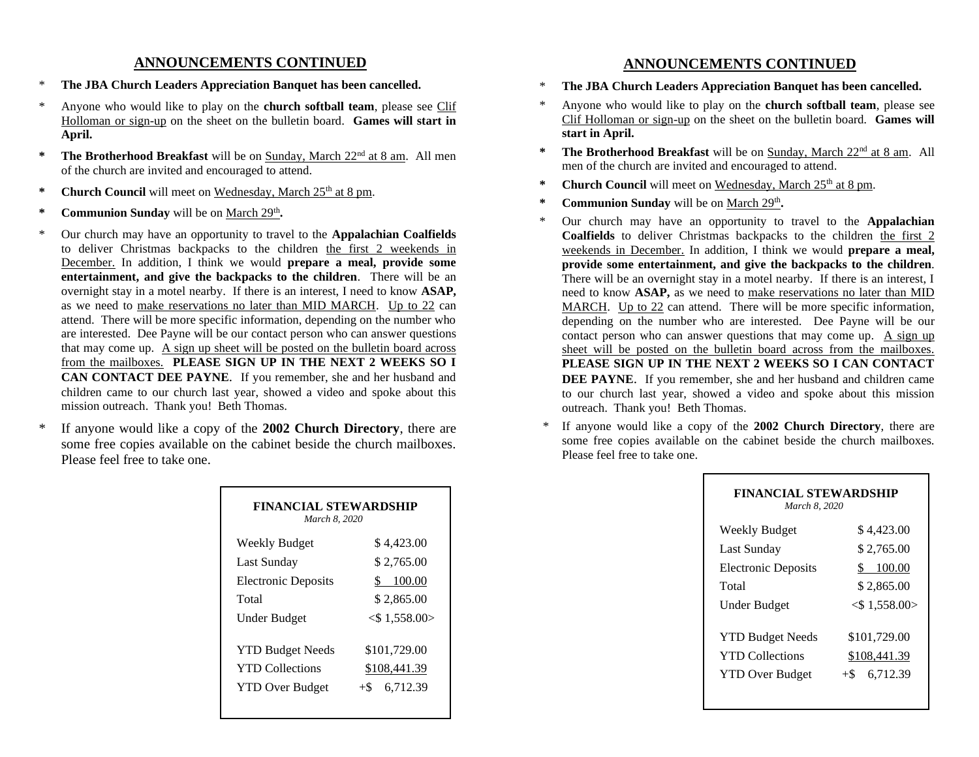#### **ANNOUNCEMENTS CONTINUED**

- \* **The JBA Church Leaders Appreciation Banquet has been cancelled.**
- Anyone who would like to play on the **church softball team**, please see Clif Holloman or sign-up on the sheet on the bulletin board. **Games will start in April.**
- **\* The Brotherhood Breakfast** will be on Sunday, March 22nd at 8 am. All men of the church are invited and encouraged to attend.
- \* **Church Council** will meet on Wednesday, March 25<sup>th</sup> at 8 pm.
- \* **Communion Sunday** will be on March 29<sup>th</sup>.
- \* Our church may have an opportunity to travel to the **Appalachian Coalfields** to deliver Christmas backpacks to the children the first 2 weekends in December. In addition, I think we would **prepare a meal, provide some entertainment, and give the backpacks to the children**. There will be an overnight stay in a motel nearby. If there is an interest, I need to know **ASAP,** as we need to make reservations no later than MID MARCH. Up to 22 can attend. There will be more specific information, depending on the number who are interested. Dee Payne will be our contact person who can answer questions that may come up. A sign up sheet will be posted on the bulletin board across from the mailboxes. **PLEASE SIGN UP IN THE NEXT 2 WEEKS SO I CAN CONTACT DEE PAYNE**. If you remember, she and her husband and children came to our church last year, showed a video and spoke about this mission outreach. Thank you! Beth Thomas.
- If anyone would like a copy of the **2002 Church Directory**, there are some free copies available on the cabinet beside the church mailboxes. Please feel free to take one.

| <b>FINANCIAL STEWARDSHIP</b><br>March 8, 2020                               |                                                   |  |
|-----------------------------------------------------------------------------|---------------------------------------------------|--|
| Weekly Budget                                                               | \$4,423.00                                        |  |
| Last Sunday                                                                 | \$2,765.00                                        |  |
| <b>Electronic Deposits</b>                                                  | 100.00                                            |  |
| Total                                                                       | \$2,865.00                                        |  |
| Under Budget                                                                | $<$ \$1,558.00 $>$                                |  |
| <b>YTD Budget Needs</b><br><b>YTD Collections</b><br><b>YTD Over Budget</b> | \$101,729.00<br>\$108,441.39<br>6,712.39<br>$+\$$ |  |

## **ANNOUNCEMENTS CONTINUED**

- \* **The JBA Church Leaders Appreciation Banquet has been cancelled.**
- \* Anyone who would like to play on the **church softball team**, please see Clif Holloman or sign-up on the sheet on the bulletin board. **Games will start in April.**
- **\* The Brotherhood Breakfast** will be on Sunday, March 22nd at 8 am. All men of the church are invited and encouraged to attend.
- \* **Church Council** will meet on Wednesday, March 25<sup>th</sup> at 8 pm.
- \* **Communion Sunday** will be on March 29<sup>th</sup>.
- \* Our church may have an opportunity to travel to the **Appalachian**  Coalfields to deliver Christmas backpacks to the children the first 2 weekends in December. In addition, I think we would **prepare a meal, provide some entertainment, and give the backpacks to the children**. There will be an overnight stay in a motel nearby. If there is an interest, I need to know **ASAP,** as we need to make reservations no later than MID MARCH. Up to 22 can attend. There will be more specific information, depending on the number who are interested. Dee Payne will be our contact person who can answer questions that may come up. A sign up sheet will be posted on the bulletin board across from the mailboxes. **PLEASE SIGN UP IN THE NEXT 2 WEEKS SO I CAN CONTACT DEE PAYNE**. If you remember, she and her husband and children came to our church last year, showed a video and spoke about this mission outreach. Thank you! Beth Thomas.
- If anyone would like a copy of the **2002 Church Directory**, there are some free copies available on the cabinet beside the church mailboxes. Please feel free to take one.

| FINANCIAL STEWARDSHIP<br>March 8, 2020 |
|----------------------------------------|
| \$4,423.00                             |
| \$2,765.00                             |
| 100.00                                 |
| \$2,865.00                             |
| $<$ \$1,558.00 $>$                     |
| \$101,729.00                           |
| \$108,441.39                           |
| 6,712.39<br>$+$ S                      |
|                                        |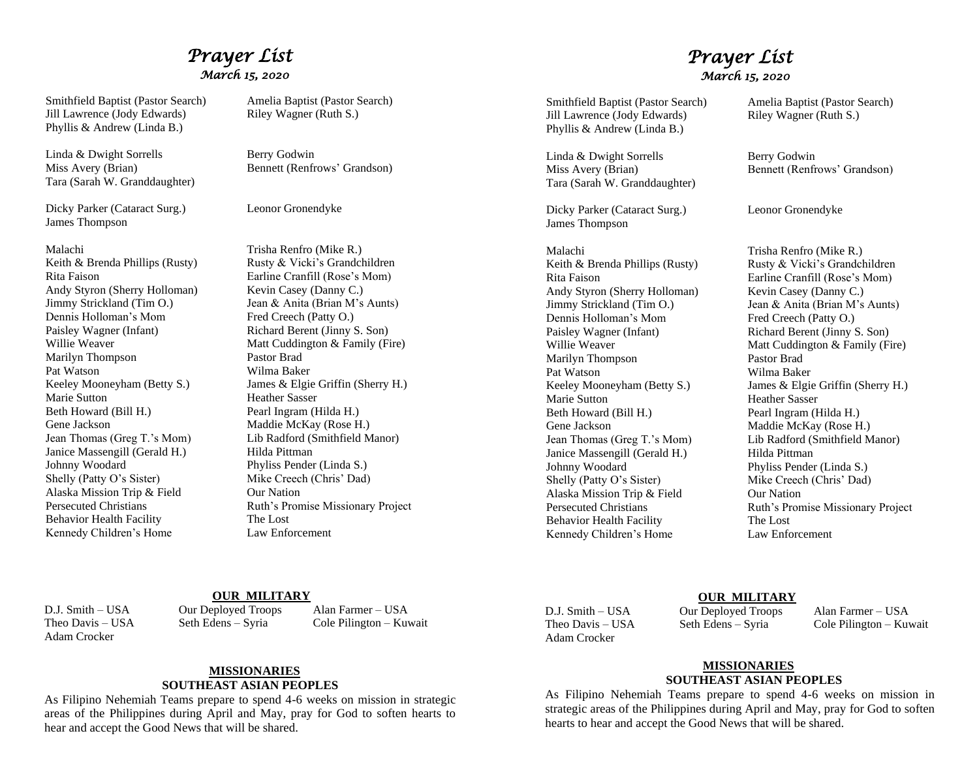# *Prayer List March 15, 2020*

Smithfield Baptist (Pastor Search) Amelia Baptist (Pastor Search)<br>
Jill Lawrence (Jody Edwards) Riley Wagner (Ruth S.) Jill Lawrence (Jody Edwards) Phyllis & Andrew (Linda B.)

Linda & Dwight Sorrells Berry Godwin Miss Avery (Brian) Bennett (Renfrows' Grandson) Tara (Sarah W. Granddaughter)

Dicky Parker (Cataract Surg.) Leonor Gronendyke James Thompson

# Rita Faison Earline Cranfill (Rose's Mom) Andy Styron (Sherry Holloman) Kevin Casey (Danny C.)<br>Jimmy Strickland (Tim O.) Jean & Anita (Brian M's Dennis Holloman's Mom Fred Creech (Patty O.) Paisley Wagner (Infant) Richard Berent (Jinny S. Son) Marilyn Thompson Pastor Brad Pat Watson Wilma Baker Marie Sutton Heather Sasser Beth Howard (Bill H.) Pearl Ingram (Hilda H.) Gene Jackson Maddie McKay (Rose H.) Janice Massengill (Gerald H.) Hilda Pittman<br>Johnny Woodard Phyliss Pender Shelly (Patty O's Sister) Mike Creech (Chris' Dad) Alaska Mission Trip & Field Our Nation Behavior Health Facility The Lost Kennedy Children's Home Law Enforcement

Malachi Trisha Renfro (Mike R.) Keith & Brenda Phillips (Rusty) Rusty & Vicki's Grandchildren Jean & Anita (Brian M's Aunts) Willie Weaver Matt Cuddington & Family (Fire) Keeley Mooneyham (Betty S.) James & Elgie Griffin (Sherry H.) Jean Thomas (Greg T.'s Mom) Lib Radford (Smithfield Manor) Phyliss Pender (Linda S.) Persecuted Christians Ruth's Promise Missionary Project

## *Prayer List March 15, 2020*

Smithfield Baptist (Pastor Search) Amelia Baptist (Pastor Search) Jill Lawrence (Jody Edwards) Riley Wagner (Ruth S.) Phyllis & Andrew (Linda B.)

Linda & Dwight Sorrells Berry Godwin Miss Avery (Brian) Bennett (Renfrows' Grandson) Tara (Sarah W. Granddaughter)

Dicky Parker (Cataract Surg.) Leonor Gronendyke James Thompson

Malachi Trisha Renfro (Mike R.) Keith & Brenda Phillips (Rusty) Rusty & Vicki's Grandchildren Rita Faison Earline Cranfill (Rose's Mom) Andy Styron (Sherry Holloman) Kevin Casey (Danny C.) Dennis Holloman's Mom Fred Creech (Patty O.) Paisley Wagner (Infant) Richard Berent (Jinny S. Son) Marilyn Thompson Pastor Brad Pat Watson Wilma Baker<br>Keeley Mooneyham (Betty S.) James & Elgie Marie Sutton Heather Sasser Beth Howard (Bill H.) Pearl Ingram (Hilda H.) Jean Thomas (Greg T.'s Mom) Janice Massengill (Gerald H.) Hilda Pittman Johnny Woodard Phyliss Pender (Linda S.) Shelly (Patty O's Sister) Mike Creech (Chris' Dad) Alaska Mission Trip & Field Our Nation Behavior Health Facility The Lost Kennedy Children's Home Law Enforcement

Jimmy Strickland (Tim O.) Jean & Anita (Brian M's Aunts) Willie Weaver Matt Cuddington & Family (Fire) James & Elgie Griffin (Sherry H.) Gene Jackson Maddie McKay (Rose H.)<br>Jean Thomas (Greg T.'s Mom) Lib Radford (Smithfield Manor) Persecuted Christians Ruth's Promise Missionary Project

### **OUR MILITARY**

Adam Crocker

D.J. Smith – USA Our Deployed Troops Alan Farmer – USA

Theo Davis – USA Seth Edens – Syria Cole Pilington – Kuwait

#### **MISSIONARIES SOUTHEAST ASIAN PEOPLES**

As Filipino Nehemiah Teams prepare to spend 4-6 weeks on mission in strategic areas of the Philippines during April and May, pray for God to soften hearts to hear and accept the Good News that will be shared.

Adam Crocker

**<u>OUR MILITARY</u>**<br>D I Smith – USA **Dur Deployed Troops** 

Our Deployed Troops Alan Farmer – USA Theo Davis – USA Seth Edens – Syria Cole Pilington – Kuwait

#### **MISSIONARIES SOUTHEAST ASIAN PEOPLES**

As Filipino Nehemiah Teams prepare to spend 4-6 weeks on mission in strategic areas of the Philippines during April and May, pray for God to soften hearts to hear and accept the Good News that will be shared.